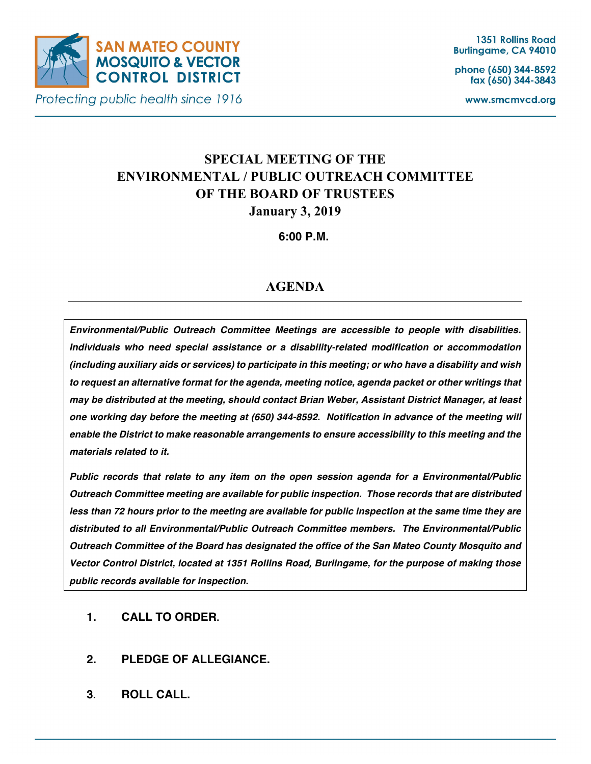

Protecting public health since 1916

phone (650) 344-8592 fax (650) 344-3843

www.smcmvcd.org

# **SPECIAL MEETING OF THE ENVIRONMENTAL / PUBLIC OUTREACH COMMITTEE OF THE BOARD OF TRUSTEES January 3, 2019**

**6:00 P.M.**

## **AGENDA**

*Environmental/Public Outreach Committee Meetings are accessible to people with disabilities. Individuals who need special assistance or a disability-related modification or accommodation (including auxiliary aids or services) to participate in this meeting; or who have a disability and wish to request an alternative format for the agenda, meeting notice, agenda packet or other writings that may be distributed at the meeting, should contact Brian Weber, Assistant District Manager, at least one working day before the meeting at (650) 344-8592. Notification in advance of the meeting will enable the District to make reasonable arrangements to ensure accessibility to this meeting and the materials related to it.*

*Public records that relate to any item on the open session agenda for a Environmental/Public Outreach Committee meeting are available for public inspection. Those records that are distributed less than 72 hours prior to the meeting are available for public inspection at the same time they are distributed to all Environmental/Public Outreach Committee members. The Environmental/Public Outreach Committee of the Board has designated the office of the San Mateo County Mosquito and Vector Control District, located at 1351 Rollins Road, Burlingame, for the purpose of making those public records available for inspection.*

- **1. CALL TO ORDER.**
- **2. PLEDGE OF ALLEGIANCE.**
- **3. ROLL CALL.**